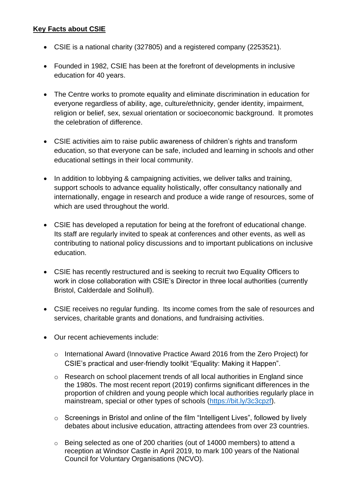#### **Key Facts about CSIE**

- CSIE is a national charity (327805) and a registered company (2253521).
- Founded in 1982, CSIE has been at the forefront of developments in inclusive education for 40 years.
- The Centre works to promote equality and eliminate discrimination in education for everyone regardless of ability, age, culture/ethnicity, gender identity, impairment, religion or belief, sex, sexual orientation or socioeconomic background. It promotes the celebration of difference.
- CSIE activities aim to raise public awareness of children's rights and transform education, so that everyone can be safe, included and learning in schools and other educational settings in their local community.
- In addition to lobbying & campaigning activities, we deliver talks and training, support schools to advance equality holistically, offer consultancy nationally and internationally, engage in research and produce a wide range of resources, some of which are used throughout the world.
- CSIE has developed a reputation for being at the forefront of educational change. Its staff are regularly invited to speak at conferences and other events, as well as contributing to national policy discussions and to important publications on inclusive education.
- CSIE has recently restructured and is seeking to recruit two Equality Officers to work in close collaboration with CSIE's Director in three local authorities (currently Bristol, Calderdale and Solihull).
- CSIE receives no regular funding. Its income comes from the sale of resources and services, charitable grants and donations, and fundraising activities.
- Our recent achievements include:
	- o International Award (Innovative Practice Award 2016 from the Zero Project) for CSIE's practical and user-friendly toolkit "Equality: Making it Happen".
	- o Research on school placement trends of all local authorities in England since the 1980s. The most recent report (2019) confirms significant differences in the proportion of children and young people which local authorities regularly place in mainstream, special or other types of schools [\(https://bit.ly/3c3cpzf\)](https://bit.ly/3c3cpzf).
	- o Screenings in Bristol and online of the film "Intelligent Lives", followed by lively debates about inclusive education, attracting attendees from over 23 countries.
	- o Being selected as one of 200 charities (out of 14000 members) to attend a reception at Windsor Castle in April 2019, to mark 100 years of the National Council for Voluntary Organisations (NCVO).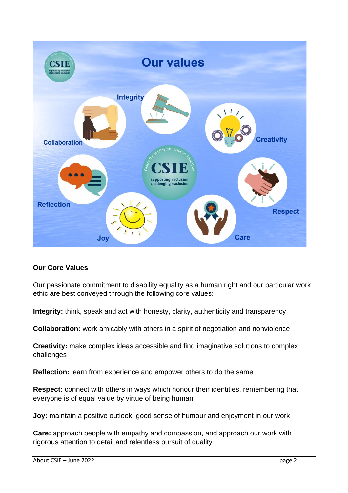

## **Our Core Values**

Our passionate commitment to disability equality as a human right and our particular work ethic are best conveyed through the following core values:

**Integrity:** think, speak and act with honesty, clarity, authenticity and transparency

**Collaboration:** work amicably with others in a spirit of negotiation and nonviolence

**Creativity:** make complex ideas accessible and find imaginative solutions to complex challenges

**Reflection:** learn from experience and empower others to do the same

**Respect:** connect with others in ways which honour their identities, remembering that everyone is of equal value by virtue of being human

**Joy:** maintain a positive outlook, good sense of humour and enjoyment in our work

**Care:** approach people with empathy and compassion, and approach our work with rigorous attention to detail and relentless pursuit of quality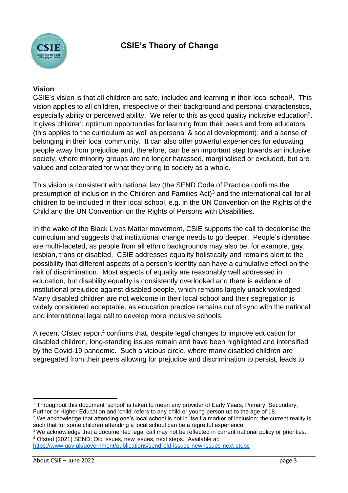

#### **Vision**

CSIE's vision is that all children are safe, included and learning in their local school<sup>1</sup>. This vision applies to all children, irrespective of their background and personal characteristics, especially ability or perceived ability. We refer to this as good quality inclusive education<sup>2</sup>. It gives children: optimum opportunities for learning from their peers and from educators (this applies to the curriculum as well as personal & social development); and a sense of belonging in their local community. It can also offer powerful experiences for educating people away from prejudice and, therefore, can be an important step towards an inclusive society, where minority groups are no longer harassed, marginalised or excluded, but are valued and celebrated for what they bring to society as a whole.

This vision is consistent with national law (the SEND Code of Practice confirms the presumption of inclusion in the Children and Families Act)<sup>3</sup> and the international call for all children to be included in their local school, e.g. in the UN Convention on the Rights of the Child and the UN Convention on the Rights of Persons with Disabilities.

In the wake of the Black Lives Matter movement, CSIE supports the call to decolonise the curriculum and suggests that institutional change needs to go deeper. People's identities are multi-faceted, as people from all ethnic backgrounds may also be, for example, gay, lesbian, trans or disabled. CSIE addresses equality holistically and remains alert to the possibility that different aspects of a person's identity can have a cumulative effect on the risk of discrimination. Most aspects of equality are reasonably well addressed in education, but disability equality is consistently overlooked and there is evidence of institutional prejudice against disabled people, which remains largely unacknowledged. Many disabled children are not welcome in their local school and their segregation is widely considered acceptable, as education practice remains out of sync with the national and international legal call to develop more inclusive schools.

A recent Ofsted report<sup>4</sup> confirms that, despite legal changes to improve education for disabled children, long-standing issues remain and have been highlighted and intensified by the Covid-19 pandemic. Such a vicious circle, where many disabled children are segregated from their peers allowing for prejudice and discrimination to persist, leads to

<sup>1</sup> Throughout this document 'school' is taken to mean any provider of Early Years, Primary, Secondary, Further or Higher Education and 'child' refers to any child or young person up to the age of 18.

<sup>&</sup>lt;sup>2</sup> We acknowledge that attending one's local school is not in itself a marker of inclusion; the current reality is such that for some children attending a local school can be a regretful experience.

<sup>&</sup>lt;sup>3</sup> We acknowledge that a documented legal call may not be reflected in current national policy or priorities. <sup>4</sup> Ofsted (2021) SEND: Old issues, new issues, next steps. Available at:

<https://www.gov.uk/government/publications/send-old-issues-new-issues-next-steps>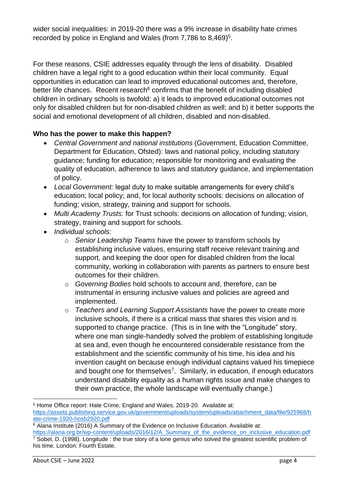wider social inequalities: in 2019-20 there was a 9% increase in disability hate crimes recorded by police in England and Wales (from 7,786 to 8,469)<sup>5</sup>.

For these reasons, CSIE addresses equality through the lens of disability. Disabled children have a legal right to a good education within their local community. Equal opportunities in education can lead to improved educational outcomes and, therefore, better life chances. Recent research $6$  confirms that the benefit of including disabled children in ordinary schools is twofold: a) it leads to improved educational outcomes not only for disabled children but for non-disabled children as well; and b) it better supports the social and emotional development of all children, disabled and non-disabled.

# **Who has the power to make this happen?**

- *Central Government and national institutions* (Government, Education Committee, Department for Education, Ofsted): laws and national policy, including statutory guidance; funding for education; responsible for monitoring and evaluating the quality of education, adherence to laws and statutory guidance, and implementation of policy.
- *Local Government:* legal duty to make suitable arrangements for every child's education; local policy; and, for local authority schools: decisions on allocation of funding; vision, strategy, training and support for schools.
- *Multi Academy Trusts:* for Trust schools: decisions on allocation of funding; vision, strategy, training and support for schools.
- *Individual schools:*
	- o *Senior Leadership Teams* have the power to transform schools by establishing inclusive values, ensuring staff receive relevant training and support, and keeping the door open for disabled children from the local community, working in collaboration with parents as partners to ensure best outcomes for their children.
	- o *Governing Bodies* hold schools to account and, therefore, can be instrumental in ensuring inclusive values and policies are agreed and implemented.
	- o *Teachers and Learning Support Assistants* have the power to create more inclusive schools, if there is a critical mass that shares this vision and is supported to change practice. (This is in line with the "Longitude" story, where one man single-handedly solved the problem of establishing longitude at sea and, even though he encountered considerable resistance from the establishment and the scientific community of his time, his idea and his invention caught on because enough individual captains valued his timepiece and bought one for themselves<sup>7</sup>. Similarly, in education, if enough educators understand disability equality as a human rights issue and make changes to their own practice, the whole landscape will eventually change.)

<sup>5</sup> Home Office report: Hate Crime, England and Wales, 2019-20. Available at: [https://assets.publishing.service.gov.uk/government/uploads/system/uploads/attachment\\_data/file/925968/h](https://assets.publishing.service.gov.uk/government/uploads/system/uploads/attachment_data/file/925968/hate-crime-1920-hosb2920.pdf) [ate-crime-1920-hosb2920.pdf](https://assets.publishing.service.gov.uk/government/uploads/system/uploads/attachment_data/file/925968/hate-crime-1920-hosb2920.pdf)

 $6$  Alana Institute (2016) A Summary of the Evidence on Inclusive Education. Available at: [https://alana.org.br/wp-content/uploads/2016/12/A\\_Summary\\_of\\_the\\_evidence\\_on\\_inclusive\\_education.pdf](https://alana.org.br/wp-content/uploads/2016/12/A_Summary_of_the_evidence_on_inclusive_education.pdf)  $\frac{7}{2}$  Sobel, D. (1998). Longitude : the true story of a lone genius who solved the greatest scientific problem of his time. London: Fourth Estate.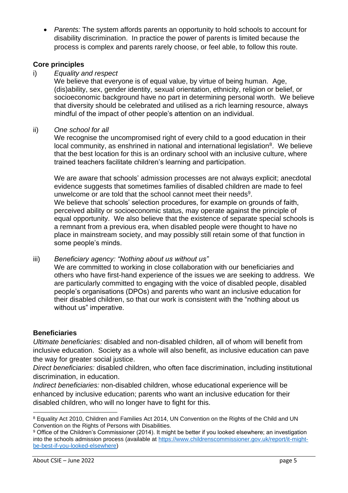• *Parents:* The system affords parents an opportunity to hold schools to account for disability discrimination. In practice the power of parents is limited because the process is complex and parents rarely choose, or feel able, to follow this route.

## **Core principles**

i) *Equality and respect*

We believe that everyone is of equal value, by virtue of being human. Age, (dis)ability, sex, gender identity, sexual orientation, ethnicity, religion or belief, or socioeconomic background have no part in determining personal worth. We believe that diversity should be celebrated and utilised as a rich learning resource, always mindful of the impact of other people's attention on an individual.

ii) *One school for all*

We recognise the uncompromised right of every child to a good education in their local community, as enshrined in national and international legislation<sup>8</sup>. We believe that the best location for this is an ordinary school with an inclusive culture, where trained teachers facilitate children's learning and participation.

We are aware that schools' admission processes are not always explicit; anecdotal evidence suggests that sometimes families of disabled children are made to feel unwelcome or are told that the school cannot meet their needs<sup>9</sup>. We believe that schools' selection procedures, for example on grounds of faith, perceived ability or socioeconomic status, may operate against the principle of equal opportunity. We also believe that the existence of separate special schools is a remnant from a previous era, when disabled people were thought to have no place in mainstream society, and may possibly still retain some of that function in some people's minds.

iii) *Beneficiary agency: "Nothing about us without us"*

We are committed to working in close collaboration with our beneficiaries and others who have first-hand experience of the issues we are seeking to address. We are particularly committed to engaging with the voice of disabled people, disabled people's organisations (DPOs) and parents who want an inclusive education for their disabled children, so that our work is consistent with the "nothing about us without us" imperative.

## **Beneficiaries**

*Ultimate beneficiaries:* disabled and non-disabled children, all of whom will benefit from inclusive education. Society as a whole will also benefit, as inclusive education can pave the way for greater social justice.

*Direct beneficiaries:* disabled children, who often face discrimination, including institutional discrimination, in education.

*Indirect beneficiaries:* non-disabled children, whose educational experience will be enhanced by inclusive education; parents who want an inclusive education for their disabled children, who will no longer have to fight for this.

<sup>&</sup>lt;sup>8</sup> Equality Act 2010, Children and Families Act 2014, UN Convention on the Rights of the Child and UN Convention on the Rights of Persons with Disabilities.

<sup>9</sup> Office of the Children's Commissioner (2014). It might be better if you looked elsewhere: an investigation into the schools admission process (available at [https://www.childrenscommissioner.gov.uk/report/it-might](https://www.childrenscommissioner.gov.uk/report/it-might-be-best-if-you-looked-elsewhere)[be-best-if-you-looked-elsewhere\)](https://www.childrenscommissioner.gov.uk/report/it-might-be-best-if-you-looked-elsewhere)